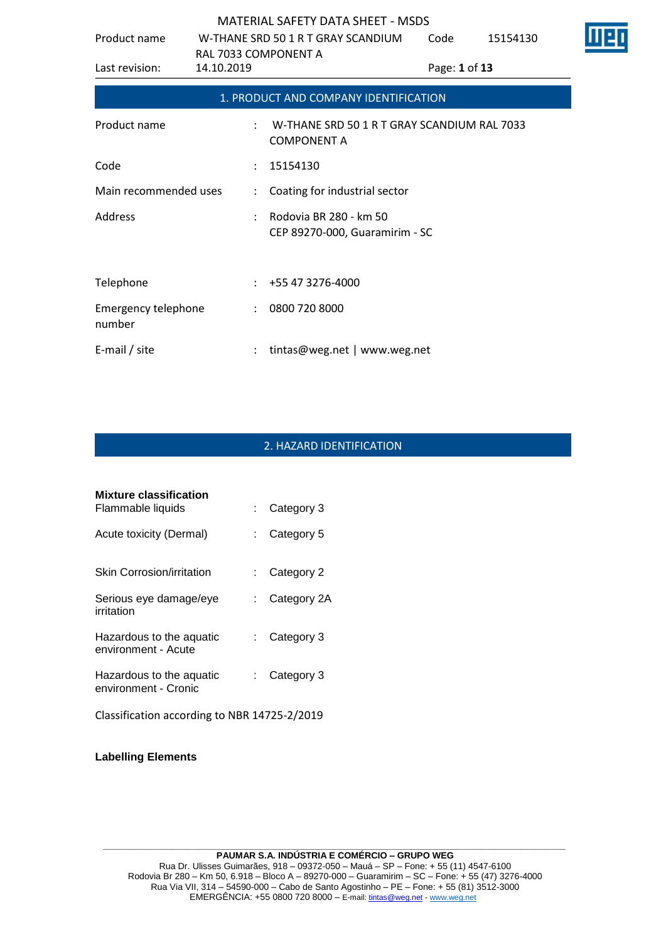| Product name                  | W-THANE SRD 50 1 R T GRAY SCANDIUM<br>RAL 7033 COMPONENT A |                                                                   | Code          | 15154130 |  |
|-------------------------------|------------------------------------------------------------|-------------------------------------------------------------------|---------------|----------|--|
| Last revision:                | 14.10.2019                                                 |                                                                   | Page: 1 of 13 |          |  |
|                               |                                                            | 1. PRODUCT AND COMPANY IDENTIFICATION                             |               |          |  |
| Product name                  |                                                            | W-THANE SRD 50 1 R T GRAY SCANDIUM RAL 7033<br><b>COMPONENT A</b> |               |          |  |
| Code                          | ÷                                                          | 15154130                                                          |               |          |  |
| Main recommended uses         | $\ddot{\phantom{0}}$                                       | Coating for industrial sector                                     |               |          |  |
| Address                       |                                                            | Rodovia BR 280 - km 50<br>CEP 89270-000, Guaramirim - SC          |               |          |  |
| Telephone                     |                                                            | $: +55473276-4000$                                                |               |          |  |
| Emergency telephone<br>number | $\ddot{\phantom{a}}$                                       | 0800 720 8000                                                     |               |          |  |
| E-mail / site                 |                                                            | tintas@weg.net   www.weg.net                                      |               |          |  |

### 2. HAZARD IDENTIFICATION

| Mixture classification<br>Flammable liquids      |    | Category 3  |
|--------------------------------------------------|----|-------------|
| Acute toxicity (Dermal)                          | t. | Category 5  |
| Skin Corrosion/irritation                        |    | Category 2  |
| Serious eye damage/eye<br>irritation             |    | Category 2A |
| Hazardous to the aquatic<br>environment - Acute  | t. | Category 3  |
| Hazardous to the aquatic<br>environment - Cronic | t. | Category 3  |
| Classification according to NBR 14725-2/2019     |    |             |

**Labelling Elements**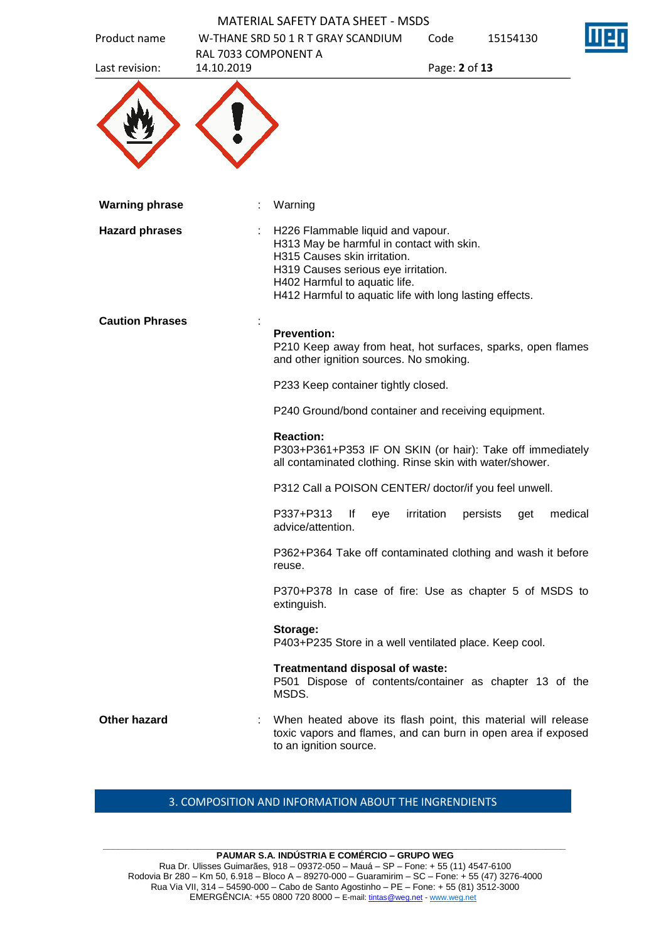| Product name           |                      | W-THANE SRD 50 1 R T GRAY SCANDIUM                                                                                                                                                                                                                | Code          | 15154130 |  |
|------------------------|----------------------|---------------------------------------------------------------------------------------------------------------------------------------------------------------------------------------------------------------------------------------------------|---------------|----------|--|
|                        | RAL 7033 COMPONENT A |                                                                                                                                                                                                                                                   |               |          |  |
| Last revision:         | 14.10.2019           |                                                                                                                                                                                                                                                   | Page: 2 of 13 |          |  |
| <b>Warning phrase</b>  |                      | Warning                                                                                                                                                                                                                                           |               |          |  |
| <b>Hazard phrases</b>  |                      | H226 Flammable liquid and vapour.<br>H313 May be harmful in contact with skin.<br>H315 Causes skin irritation.<br>H319 Causes serious eye irritation.<br>H402 Harmful to aquatic life.<br>H412 Harmful to aquatic life with long lasting effects. |               |          |  |
| <b>Caution Phrases</b> |                      | <b>Prevention:</b><br>P210 Keep away from heat, hot surfaces, sparks, open flames<br>and other ignition sources. No smoking.                                                                                                                      |               |          |  |
|                        |                      | P233 Keep container tightly closed.                                                                                                                                                                                                               |               |          |  |
|                        |                      | P240 Ground/bond container and receiving equipment.                                                                                                                                                                                               |               |          |  |
|                        |                      | <b>Reaction:</b><br>P303+P361+P353 IF ON SKIN (or hair): Take off immediately<br>all contaminated clothing. Rinse skin with water/shower.                                                                                                         |               |          |  |
|                        |                      | P312 Call a POISON CENTER/ doctor/if you feel unwell.                                                                                                                                                                                             |               |          |  |
|                        |                      | P337+P313 If eye irritation persists get medical<br>advice/attention.                                                                                                                                                                             |               |          |  |
|                        |                      | P362+P364 Take off contaminated clothing and wash it before<br>reuse.                                                                                                                                                                             |               |          |  |
|                        |                      | P370+P378 In case of fire: Use as chapter 5 of MSDS to<br>extinguish.                                                                                                                                                                             |               |          |  |
|                        |                      | Storage:<br>P403+P235 Store in a well ventilated place. Keep cool.                                                                                                                                                                                |               |          |  |
|                        |                      | Treatmentand disposal of waste:<br>P501 Dispose of contents/container as chapter 13 of the<br>MSDS.                                                                                                                                               |               |          |  |
| <b>Other hazard</b>    |                      | When heated above its flash point, this material will release<br>toxic vapors and flames, and can burn in open area if exposed<br>to an ignition source.                                                                                          |               |          |  |

### 3. COMPOSITION AND INFORMATION ABOUT THE INGRENDIENTS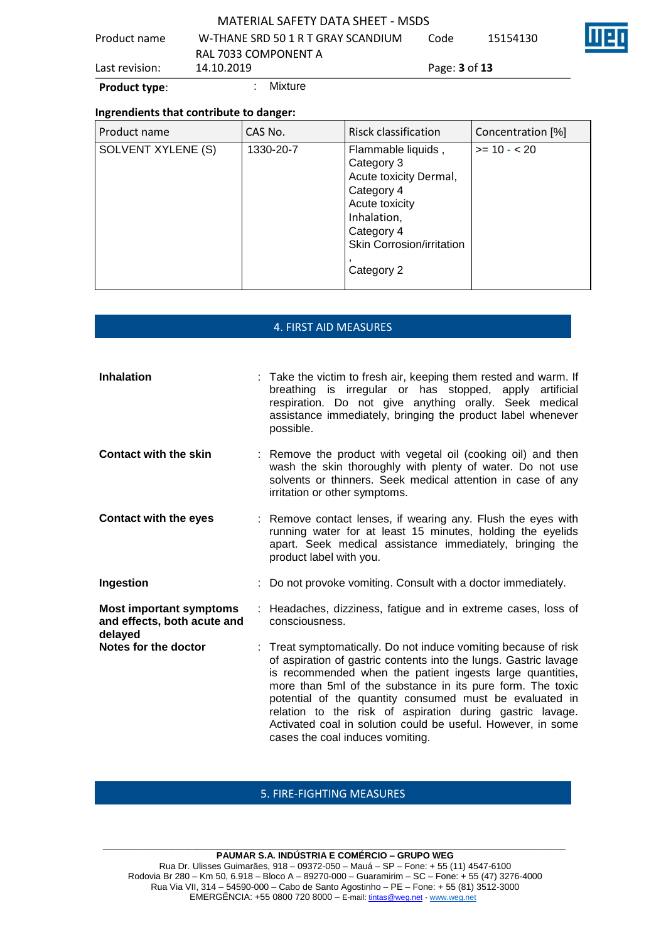| <b>Product type:</b> | Mixture                            |                             |          |  |
|----------------------|------------------------------------|-----------------------------|----------|--|
| Last revision:       | 14.10.2019                         | Page: <b>3</b> of <b>13</b> |          |  |
|                      | RAL 7033 COMPONENT A               |                             |          |  |
| Product name         | W-THANE SRD 50 1 R T GRAY SCANDIUM | Code                        | 15154130 |  |
|                      | MATERIAL SAFETY DATA SHEFT - MSDS  |                             |          |  |

### **Ingrendients that contribute to danger:**

| Product name       | CAS No.   | Risck classification                                                                                                                                                      | Concentration [%] |
|--------------------|-----------|---------------------------------------------------------------------------------------------------------------------------------------------------------------------------|-------------------|
| SOLVENT XYLENE (S) | 1330-20-7 | Flammable liquids,<br>Category 3<br>Acute toxicity Dermal,<br>Category 4<br>Acute toxicity<br>Inhalation,<br>Category 4<br><b>Skin Corrosion/irritation</b><br>Category 2 | $>= 10 - 20$      |

### 4. FIRST AID MEASURES

| <b>Inhalation</b>                                                        | : Take the victim to fresh air, keeping them rested and warm. If<br>breathing is irregular or has stopped, apply artificial<br>respiration. Do not give anything orally. Seek medical<br>assistance immediately, bringing the product label whenever<br>possible.                                                                                                                                                                                                                          |
|--------------------------------------------------------------------------|--------------------------------------------------------------------------------------------------------------------------------------------------------------------------------------------------------------------------------------------------------------------------------------------------------------------------------------------------------------------------------------------------------------------------------------------------------------------------------------------|
| <b>Contact with the skin</b>                                             | : Remove the product with vegetal oil (cooking oil) and then<br>wash the skin thoroughly with plenty of water. Do not use<br>solvents or thinners. Seek medical attention in case of any<br>irritation or other symptoms.                                                                                                                                                                                                                                                                  |
| <b>Contact with the eyes</b>                                             | : Remove contact lenses, if wearing any. Flush the eyes with<br>running water for at least 15 minutes, holding the eyelids<br>apart. Seek medical assistance immediately, bringing the<br>product label with you.                                                                                                                                                                                                                                                                          |
| Ingestion                                                                | : Do not provoke vomiting. Consult with a doctor immediately.                                                                                                                                                                                                                                                                                                                                                                                                                              |
| <b>Most important symptoms</b><br>and effects, both acute and<br>delayed | : Headaches, dizziness, fatigue and in extreme cases, loss of<br>consciousness.                                                                                                                                                                                                                                                                                                                                                                                                            |
| Notes for the doctor                                                     | : Treat symptomatically. Do not induce vomiting because of risk<br>of aspiration of gastric contents into the lungs. Gastric lavage<br>is recommended when the patient ingests large quantities,<br>more than 5ml of the substance in its pure form. The toxic<br>potential of the quantity consumed must be evaluated in<br>relation to the risk of aspiration during gastric lavage.<br>Activated coal in solution could be useful. However, in some<br>cases the coal induces vomiting. |

# 5. FIRE-FIGHTING MEASURES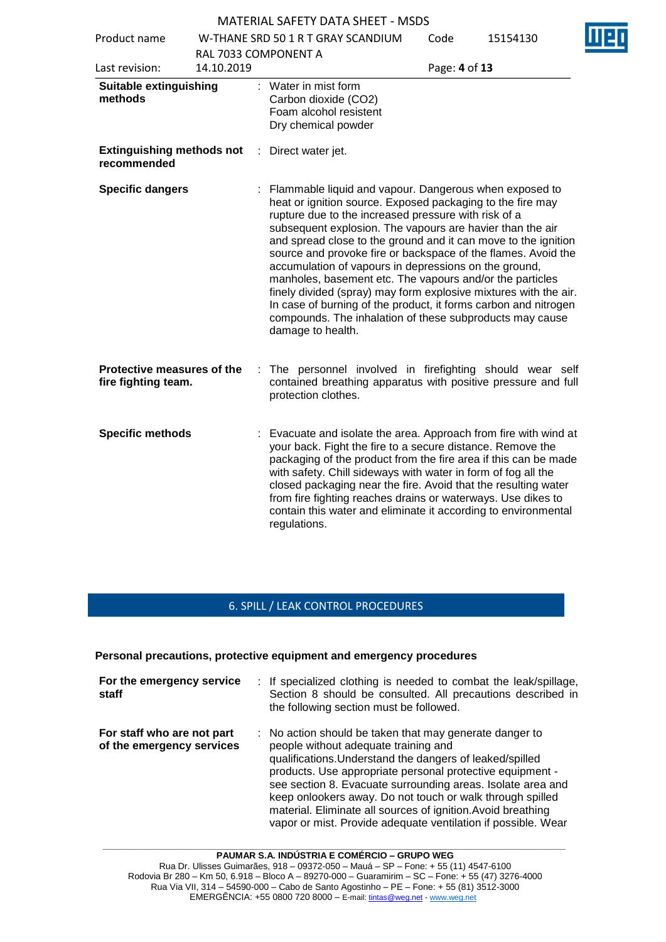| Product name                                      | W-THANE SRD 50 1 R T GRAY SCANDIUM<br>RAL 7033 COMPONENT A |                                                                                                                                                                                                                                                                                                                                                                                                                                                                                                                                                                                                                                                                                                                           | Code          | Ш<br>15154130 |
|---------------------------------------------------|------------------------------------------------------------|---------------------------------------------------------------------------------------------------------------------------------------------------------------------------------------------------------------------------------------------------------------------------------------------------------------------------------------------------------------------------------------------------------------------------------------------------------------------------------------------------------------------------------------------------------------------------------------------------------------------------------------------------------------------------------------------------------------------------|---------------|---------------|
| Last revision:                                    | 14.10.2019                                                 |                                                                                                                                                                                                                                                                                                                                                                                                                                                                                                                                                                                                                                                                                                                           | Page: 4 of 13 |               |
| <b>Suitable extinguishing</b><br>methods          |                                                            | Water in mist form<br>Carbon dioxide (CO2)<br>Foam alcohol resistent<br>Dry chemical powder                                                                                                                                                                                                                                                                                                                                                                                                                                                                                                                                                                                                                               |               |               |
| <b>Extinguishing methods not</b><br>recommended   |                                                            | Direct water jet.<br>÷.                                                                                                                                                                                                                                                                                                                                                                                                                                                                                                                                                                                                                                                                                                   |               |               |
| <b>Specific dangers</b>                           |                                                            | Flammable liquid and vapour. Dangerous when exposed to<br>heat or ignition source. Exposed packaging to the fire may<br>rupture due to the increased pressure with risk of a<br>subsequent explosion. The vapours are havier than the air<br>and spread close to the ground and it can move to the ignition<br>source and provoke fire or backspace of the flames. Avoid the<br>accumulation of vapours in depressions on the ground,<br>manholes, basement etc. The vapours and/or the particles<br>finely divided (spray) may form explosive mixtures with the air.<br>In case of burning of the product, it forms carbon and nitrogen<br>compounds. The inhalation of these subproducts may cause<br>damage to health. |               |               |
| Protective measures of the<br>fire fighting team. |                                                            | The personnel involved in firefighting should wear self<br>÷<br>contained breathing apparatus with positive pressure and full<br>protection clothes.                                                                                                                                                                                                                                                                                                                                                                                                                                                                                                                                                                      |               |               |
| <b>Specific methods</b>                           |                                                            | : Evacuate and isolate the area. Approach from fire with wind at<br>your back. Fight the fire to a secure distance. Remove the<br>packaging of the product from the fire area if this can be made<br>with safety. Chill sideways with water in form of fog all the<br>closed packaging near the fire. Avoid that the resulting water<br>from fire fighting reaches drains or waterways. Use dikes to<br>contain this water and eliminate it according to environmental<br>regulations.                                                                                                                                                                                                                                    |               |               |

# 6. SPILL / LEAK CONTROL PROCEDURES

#### **Personal precautions, protective equipment and emergency procedures**

| For the emergency service<br>staff                      | : If specialized clothing is needed to combat the leak/spillage,<br>Section 8 should be consulted. All precautions described in<br>the following section must be followed.                                                                                                                                                                                                                                                                                                            |
|---------------------------------------------------------|---------------------------------------------------------------------------------------------------------------------------------------------------------------------------------------------------------------------------------------------------------------------------------------------------------------------------------------------------------------------------------------------------------------------------------------------------------------------------------------|
| For staff who are not part<br>of the emergency services | : No action should be taken that may generate danger to<br>people without adequate training and<br>qualifications. Understand the dangers of leaked/spilled<br>products. Use appropriate personal protective equipment -<br>see section 8. Evacuate surrounding areas. Isolate area and<br>keep onlookers away. Do not touch or walk through spilled<br>material. Eliminate all sources of ignition. Avoid breathing<br>vapor or mist. Provide adequate ventilation if possible. Wear |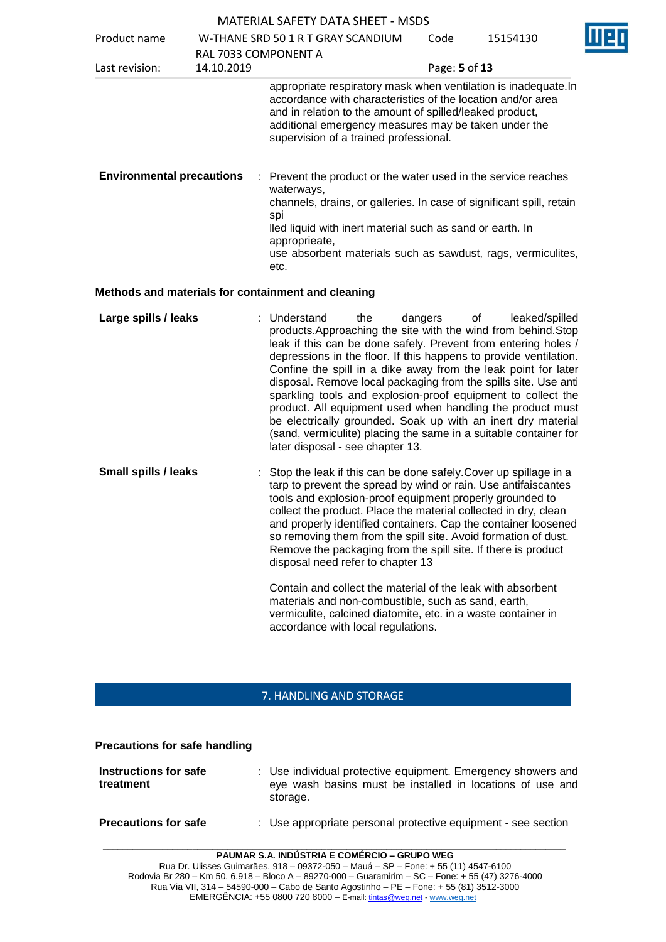| MATERIAL SAFETY DATA SHEET - MSDS |  |
|-----------------------------------|--|

 $\overline{\mathbf{r}}$ 

|            | <b>MATERIAL SAFETY DATA SHEET - MSDS</b>                                                |                                                                                                                                  |                                                                                                                                                                  |                                                                                                                                                                                                                                                                                                                                                                                                                                                                                                                                                                                                                                                                                                                                                                                                                                                                                                                                                                                                                                                                                                                                                                                                                                                                                                                                                                                                                                                                                                                                                                                                                                                                                                                                                                                                                                  |
|------------|-----------------------------------------------------------------------------------------|----------------------------------------------------------------------------------------------------------------------------------|------------------------------------------------------------------------------------------------------------------------------------------------------------------|----------------------------------------------------------------------------------------------------------------------------------------------------------------------------------------------------------------------------------------------------------------------------------------------------------------------------------------------------------------------------------------------------------------------------------------------------------------------------------------------------------------------------------------------------------------------------------------------------------------------------------------------------------------------------------------------------------------------------------------------------------------------------------------------------------------------------------------------------------------------------------------------------------------------------------------------------------------------------------------------------------------------------------------------------------------------------------------------------------------------------------------------------------------------------------------------------------------------------------------------------------------------------------------------------------------------------------------------------------------------------------------------------------------------------------------------------------------------------------------------------------------------------------------------------------------------------------------------------------------------------------------------------------------------------------------------------------------------------------------------------------------------------------------------------------------------------------|
|            |                                                                                         | Code                                                                                                                             | 15154130                                                                                                                                                         |                                                                                                                                                                                                                                                                                                                                                                                                                                                                                                                                                                                                                                                                                                                                                                                                                                                                                                                                                                                                                                                                                                                                                                                                                                                                                                                                                                                                                                                                                                                                                                                                                                                                                                                                                                                                                                  |
|            |                                                                                         |                                                                                                                                  |                                                                                                                                                                  |                                                                                                                                                                                                                                                                                                                                                                                                                                                                                                                                                                                                                                                                                                                                                                                                                                                                                                                                                                                                                                                                                                                                                                                                                                                                                                                                                                                                                                                                                                                                                                                                                                                                                                                                                                                                                                  |
| 14.10.2019 |                                                                                         |                                                                                                                                  |                                                                                                                                                                  |                                                                                                                                                                                                                                                                                                                                                                                                                                                                                                                                                                                                                                                                                                                                                                                                                                                                                                                                                                                                                                                                                                                                                                                                                                                                                                                                                                                                                                                                                                                                                                                                                                                                                                                                                                                                                                  |
|            |                                                                                         |                                                                                                                                  |                                                                                                                                                                  |                                                                                                                                                                                                                                                                                                                                                                                                                                                                                                                                                                                                                                                                                                                                                                                                                                                                                                                                                                                                                                                                                                                                                                                                                                                                                                                                                                                                                                                                                                                                                                                                                                                                                                                                                                                                                                  |
|            | waterways,<br>spi<br>approprieate,<br>etc.                                              |                                                                                                                                  |                                                                                                                                                                  |                                                                                                                                                                                                                                                                                                                                                                                                                                                                                                                                                                                                                                                                                                                                                                                                                                                                                                                                                                                                                                                                                                                                                                                                                                                                                                                                                                                                                                                                                                                                                                                                                                                                                                                                                                                                                                  |
|            |                                                                                         |                                                                                                                                  |                                                                                                                                                                  |                                                                                                                                                                                                                                                                                                                                                                                                                                                                                                                                                                                                                                                                                                                                                                                                                                                                                                                                                                                                                                                                                                                                                                                                                                                                                                                                                                                                                                                                                                                                                                                                                                                                                                                                                                                                                                  |
|            | the                                                                                     |                                                                                                                                  | leaked/spilled                                                                                                                                                   |                                                                                                                                                                                                                                                                                                                                                                                                                                                                                                                                                                                                                                                                                                                                                                                                                                                                                                                                                                                                                                                                                                                                                                                                                                                                                                                                                                                                                                                                                                                                                                                                                                                                                                                                                                                                                                  |
|            |                                                                                         |                                                                                                                                  |                                                                                                                                                                  |                                                                                                                                                                                                                                                                                                                                                                                                                                                                                                                                                                                                                                                                                                                                                                                                                                                                                                                                                                                                                                                                                                                                                                                                                                                                                                                                                                                                                                                                                                                                                                                                                                                                                                                                                                                                                                  |
|            | <b>Environmental precautions</b><br>Large spills / leaks<br><b>Small spills / leaks</b> | W-THANE SRD 50 1 R T GRAY SCANDIUM<br>RAL 7033 COMPONENT A<br>Methods and materials for containment and cleaning<br>: Understand | supervision of a trained professional.<br>dangers<br>later disposal - see chapter 13.<br>disposal need refer to chapter 13<br>accordance with local regulations. | Page: 5 of 13<br>appropriate respiratory mask when ventilation is inadequate.In<br>accordance with characteristics of the location and/or area<br>and in relation to the amount of spilled/leaked product,<br>additional emergency measures may be taken under the<br>Prevent the product or the water used in the service reaches<br>channels, drains, or galleries. In case of significant spill, retain<br>lled liquid with inert material such as sand or earth. In<br>use absorbent materials such as sawdust, rags, vermiculites,<br>of<br>products. Approaching the site with the wind from behind. Stop<br>leak if this can be done safely. Prevent from entering holes /<br>depressions in the floor. If this happens to provide ventilation.<br>Confine the spill in a dike away from the leak point for later<br>disposal. Remove local packaging from the spills site. Use anti<br>sparkling tools and explosion-proof equipment to collect the<br>product. All equipment used when handling the product must<br>be electrically grounded. Soak up with an inert dry material<br>(sand, vermiculite) placing the same in a suitable container for<br>: Stop the leak if this can be done safely. Cover up spillage in a<br>tarp to prevent the spread by wind or rain. Use antifaiscantes<br>tools and explosion-proof equipment properly grounded to<br>collect the product. Place the material collected in dry, clean<br>and properly identified containers. Cap the container loosened<br>so removing them from the spill site. Avoid formation of dust.<br>Remove the packaging from the spill site. If there is product<br>Contain and collect the material of the leak with absorbent<br>materials and non-combustible, such as sand, earth,<br>vermiculite, calcined diatomite, etc. in a waste container in |

## 7. HANDLING AND STORAGE

| <b>Precautions for safe handling</b> |  |  |  |
|--------------------------------------|--|--|--|
|--------------------------------------|--|--|--|

| Instructions for safe<br>treatment | : Use individual protective equipment. Emergency showers and<br>eye wash basins must be installed in locations of use and<br>storage. |
|------------------------------------|---------------------------------------------------------------------------------------------------------------------------------------|
| <b>Precautions for safe</b>        | : Use appropriate personal protective equipment - see section                                                                         |

**PAUMAR S.A. INDÚSTRIA E COMÉRCIO – GRUPO WEG**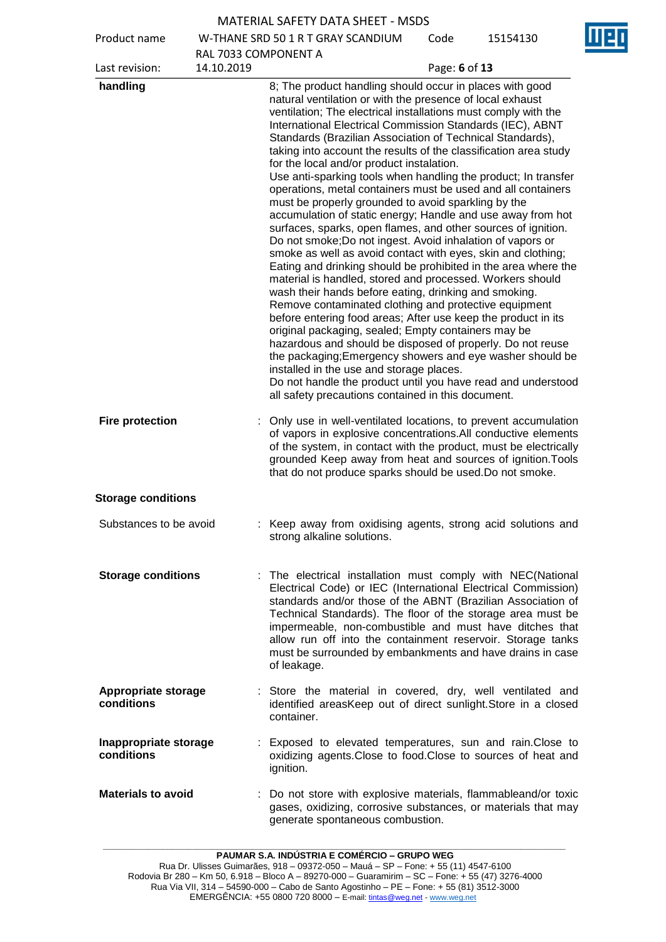| <b>MATERIAL SAFETY DATA SHEET - MSDS</b> |
|------------------------------------------|
|------------------------------------------|

Product name W-THANE SRD 50 1 R T GRAY SCANDIUM RAL 7033 COMPONENT A

Code 15154130



| 14.10.2019<br>Last revision:        | RAL 7033 COMPONENT A<br>Page: 6 of 13                                                                                                                                                                                                                                                                                                                                                                                                                                                                                                                                                                                                                                                                                                                                                                                                                                                                                                                                                                                                                                                                                                                                                                                                                                                                                                                                                                                                                                                                                                                           |
|-------------------------------------|-----------------------------------------------------------------------------------------------------------------------------------------------------------------------------------------------------------------------------------------------------------------------------------------------------------------------------------------------------------------------------------------------------------------------------------------------------------------------------------------------------------------------------------------------------------------------------------------------------------------------------------------------------------------------------------------------------------------------------------------------------------------------------------------------------------------------------------------------------------------------------------------------------------------------------------------------------------------------------------------------------------------------------------------------------------------------------------------------------------------------------------------------------------------------------------------------------------------------------------------------------------------------------------------------------------------------------------------------------------------------------------------------------------------------------------------------------------------------------------------------------------------------------------------------------------------|
|                                     |                                                                                                                                                                                                                                                                                                                                                                                                                                                                                                                                                                                                                                                                                                                                                                                                                                                                                                                                                                                                                                                                                                                                                                                                                                                                                                                                                                                                                                                                                                                                                                 |
| handling                            | 8; The product handling should occur in places with good<br>natural ventilation or with the presence of local exhaust<br>ventilation; The electrical installations must comply with the<br>International Electrical Commission Standards (IEC), ABNT<br>Standards (Brazilian Association of Technical Standards),<br>taking into account the results of the classification area study<br>for the local and/or product instalation.<br>Use anti-sparking tools when handling the product; In transfer<br>operations, metal containers must be used and all containers<br>must be properly grounded to avoid sparkling by the<br>accumulation of static energy; Handle and use away from hot<br>surfaces, sparks, open flames, and other sources of ignition.<br>Do not smoke; Do not ingest. Avoid inhalation of vapors or<br>smoke as well as avoid contact with eyes, skin and clothing;<br>Eating and drinking should be prohibited in the area where the<br>material is handled, stored and processed. Workers should<br>wash their hands before eating, drinking and smoking.<br>Remove contaminated clothing and protective equipment<br>before entering food areas; After use keep the product in its<br>original packaging, sealed; Empty containers may be<br>hazardous and should be disposed of properly. Do not reuse<br>the packaging; Emergency showers and eye washer should be<br>installed in the use and storage places.<br>Do not handle the product until you have read and understood<br>all safety precautions contained in this document. |
| <b>Fire protection</b>              | : Only use in well-ventilated locations, to prevent accumulation<br>of vapors in explosive concentrations. All conductive elements<br>of the system, in contact with the product, must be electrically<br>grounded Keep away from heat and sources of ignition. Tools<br>that do not produce sparks should be used. Do not smoke.                                                                                                                                                                                                                                                                                                                                                                                                                                                                                                                                                                                                                                                                                                                                                                                                                                                                                                                                                                                                                                                                                                                                                                                                                               |
| <b>Storage conditions</b>           |                                                                                                                                                                                                                                                                                                                                                                                                                                                                                                                                                                                                                                                                                                                                                                                                                                                                                                                                                                                                                                                                                                                                                                                                                                                                                                                                                                                                                                                                                                                                                                 |
| Substances to be avoid              | : Keep away from oxidising agents, strong acid solutions and<br>strong alkaline solutions.                                                                                                                                                                                                                                                                                                                                                                                                                                                                                                                                                                                                                                                                                                                                                                                                                                                                                                                                                                                                                                                                                                                                                                                                                                                                                                                                                                                                                                                                      |
| <b>Storage conditions</b>           | : The electrical installation must comply with NEC(National<br>Electrical Code) or IEC (International Electrical Commission)<br>standards and/or those of the ABNT (Brazilian Association of<br>Technical Standards). The floor of the storage area must be<br>impermeable, non-combustible and must have ditches that<br>allow run off into the containment reservoir. Storage tanks<br>must be surrounded by embankments and have drains in case<br>of leakage.                                                                                                                                                                                                                                                                                                                                                                                                                                                                                                                                                                                                                                                                                                                                                                                                                                                                                                                                                                                                                                                                                               |
| Appropriate storage<br>conditions   | : Store the material in covered, dry, well ventilated and<br>identified areasKeep out of direct sunlight. Store in a closed<br>container.                                                                                                                                                                                                                                                                                                                                                                                                                                                                                                                                                                                                                                                                                                                                                                                                                                                                                                                                                                                                                                                                                                                                                                                                                                                                                                                                                                                                                       |
| Inappropriate storage<br>conditions | : Exposed to elevated temperatures, sun and rain. Close to<br>oxidizing agents. Close to food. Close to sources of heat and<br>ignition.                                                                                                                                                                                                                                                                                                                                                                                                                                                                                                                                                                                                                                                                                                                                                                                                                                                                                                                                                                                                                                                                                                                                                                                                                                                                                                                                                                                                                        |
| <b>Materials to avoid</b>           | : Do not store with explosive materials, flammableand/or toxic<br>gases, oxidizing, corrosive substances, or materials that may<br>generate spontaneous combustion.                                                                                                                                                                                                                                                                                                                                                                                                                                                                                                                                                                                                                                                                                                                                                                                                                                                                                                                                                                                                                                                                                                                                                                                                                                                                                                                                                                                             |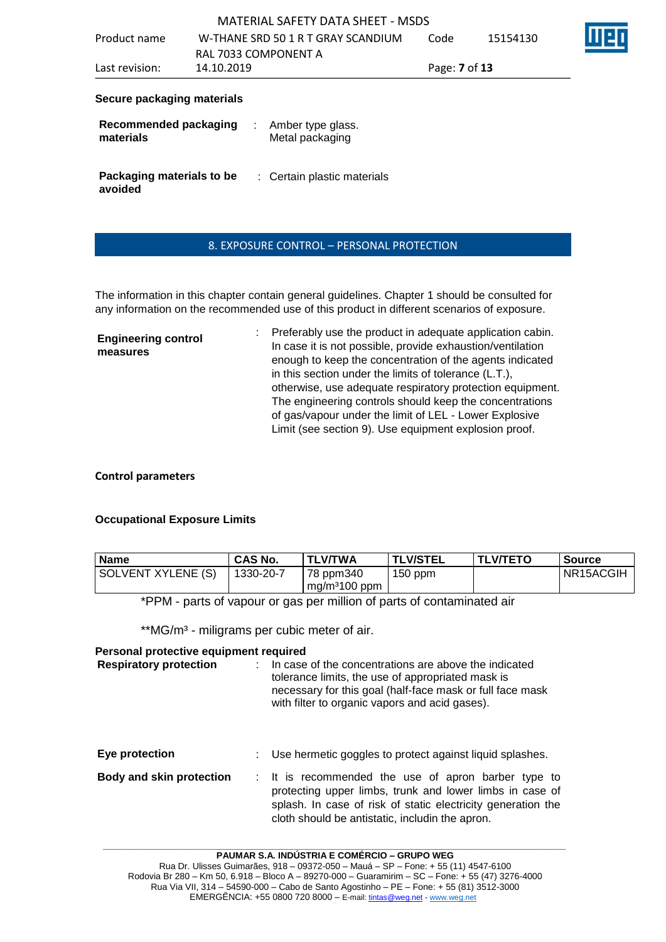| Secure nackaning materials |                                    |                             |          |  |
|----------------------------|------------------------------------|-----------------------------|----------|--|
| Last revision:             | 14.10.2019                         | Page: <b>7</b> of <b>13</b> |          |  |
|                            | RAL 7033 COMPONENT A               |                             |          |  |
| Product name               | W-THANE SRD 50 1 R T GRAY SCANDIUM | Code                        | 15154130 |  |
|                            |                                    |                             |          |  |

#### **Secure packaging materials**

| Recommended packaging<br>materials   | Amber type glass.<br>Metal packaging |
|--------------------------------------|--------------------------------------|
| Packaging materials to be<br>avoided | : Certain plastic materials          |

# 8. EXPOSURE CONTROL – PERSONAL PROTECTION

The information in this chapter contain general guidelines. Chapter 1 should be consulted for any information on the recommended use of this product in different scenarios of exposure.

**Engineering control measures** : Preferably use the product in adequate application cabin. In case it is not possible, provide exhaustion/ventilation enough to keep the concentration of the agents indicated in this section under the limits of tolerance (L.T.), otherwise, use adequate respiratory protection equipment. The engineering controls should keep the concentrations of gas/vapour under the limit of LEL - Lower Explosive Limit (see section 9). Use equipment explosion proof.

# **Control parameters**

# **Occupational Exposure Limits**

| <b>Name</b>                                                            | <b>CAS No.</b> | <b>TLV/TWA</b>              | <b>TLV/STEL</b> | <b>TLV/TETO</b> | Source    |
|------------------------------------------------------------------------|----------------|-----------------------------|-----------------|-----------------|-----------|
| SOLVENT XYLENE (S)                                                     | 1330-20-7      | 78 ppm340<br>$mg/m3100$ ppm | $150$ ppm       |                 | NR15ACGIH |
| *DDM - parts of vapour or gas per million of parts of contaminated air |                |                             |                 |                 |           |

\*PPM - parts of vapour or gas per million of parts of contaminated air

\*\*MG/m<sup>3</sup> - miligrams per cubic meter of air.

# **Personal protective equipment required**

| <b>Respiratory protection</b>   | In case of the concentrations are above the indicated<br>tolerance limits, the use of appropriated mask is<br>necessary for this goal (half-face mask or full face mask<br>with filter to organic vapors and acid gases).          |
|---------------------------------|------------------------------------------------------------------------------------------------------------------------------------------------------------------------------------------------------------------------------------|
| Eye protection                  | Use hermetic goggles to protect against liquid splashes.                                                                                                                                                                           |
| <b>Body and skin protection</b> | : It is recommended the use of apron barber type to<br>protecting upper limbs, trunk and lower limbs in case of<br>splash. In case of risk of static electricity generation the<br>cloth should be antistatic, includin the apron. |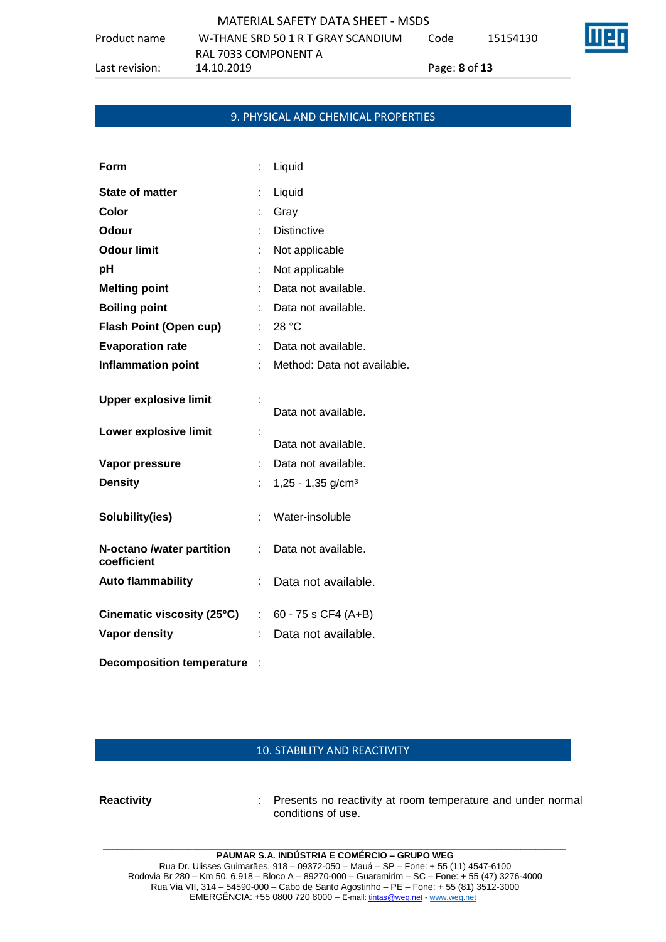|              | MATERIAL SAFETY DATA SHEET - MSDS  |      |          |
|--------------|------------------------------------|------|----------|
| Product name | W-THANE SRD 50 1 R T GRAY SCANDIUM | Code | 15154130 |
|              | RAL 7033 COMPONENT A               |      |          |

Last revision: 14.10.2019 Page: **8** of **13**

#### 9. PHYSICAL AND CHEMICAL PROPERTIES

| Form                                     |                           | Liquid                          |
|------------------------------------------|---------------------------|---------------------------------|
| <b>State of matter</b>                   | t                         | Liquid                          |
| Color                                    |                           | Gray                            |
| Odour                                    |                           | <b>Distinctive</b>              |
| <b>Odour limit</b>                       |                           | Not applicable                  |
| рH                                       |                           | Not applicable                  |
| <b>Melting point</b>                     |                           | Data not available.             |
| <b>Boiling point</b>                     |                           | Data not available.             |
| <b>Flash Point (Open cup)</b>            |                           | : 28 °C                         |
| <b>Evaporation rate</b>                  |                           | Data not available.             |
| <b>Inflammation point</b>                |                           | Method: Data not available.     |
| <b>Upper explosive limit</b>             |                           | Data not available.             |
| Lower explosive limit                    |                           | Data not available.             |
| Vapor pressure                           | t.                        | Data not available.             |
| <b>Density</b>                           | t.                        | $1,25 - 1,35$ g/cm <sup>3</sup> |
| Solubility(ies)                          | t.                        | Water-insoluble                 |
| N-octano /water partition<br>coefficient |                           | Data not available.             |
| <b>Auto flammability</b>                 | t                         | Data not available.             |
| Cinematic viscosity (25°C)               | $\mathbb{R}^{\mathbb{Z}}$ | $60 - 75$ s CF4 (A+B)           |
| <b>Vapor density</b>                     | t                         | Data not available.             |
| <b>Decomposition temperature</b>         |                           |                                 |

### 10. STABILITY AND REACTIVITY

**Reactivity** : Presents no reactivity at room temperature and under normal conditions of use.

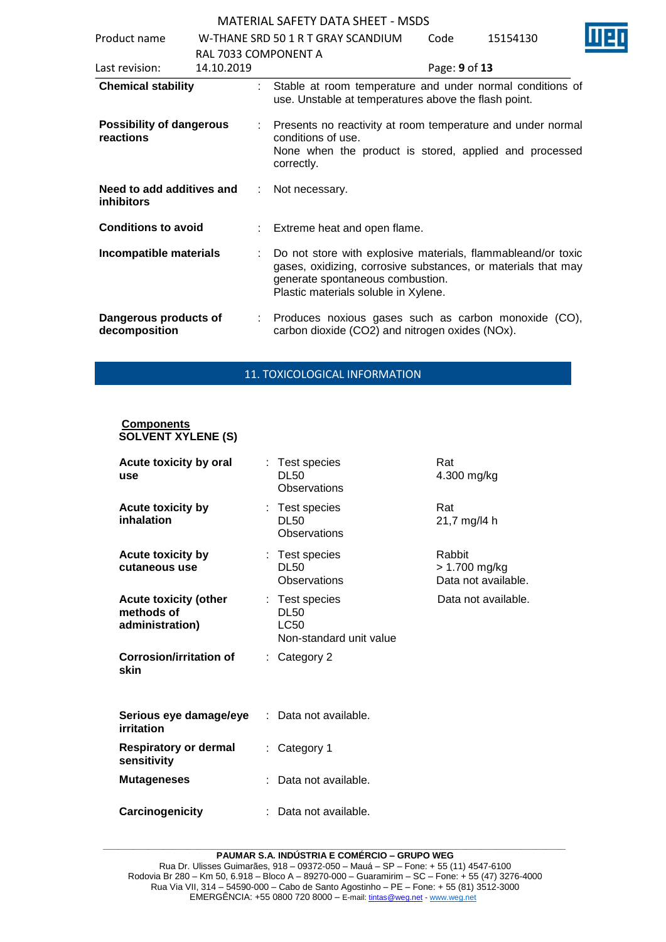| Product name                                   |                      |   | W-THANE SRD 50 1 R T GRAY SCANDIUM                                                                                                                                                                        | Code          | 15154130 |  |
|------------------------------------------------|----------------------|---|-----------------------------------------------------------------------------------------------------------------------------------------------------------------------------------------------------------|---------------|----------|--|
|                                                | RAL 7033 COMPONENT A |   |                                                                                                                                                                                                           |               |          |  |
| Last revision:                                 | 14.10.2019           |   |                                                                                                                                                                                                           | Page: 9 of 13 |          |  |
| <b>Chemical stability</b>                      |                      |   | Stable at room temperature and under normal conditions of<br>use. Unstable at temperatures above the flash point.                                                                                         |               |          |  |
| <b>Possibility of dangerous</b><br>reactions   |                      |   | Presents no reactivity at room temperature and under normal<br>conditions of use.<br>None when the product is stored, applied and processed<br>correctly.                                                 |               |          |  |
| Need to add additives and<br><b>inhibitors</b> |                      | ÷ | Not necessary.                                                                                                                                                                                            |               |          |  |
| <b>Conditions to avoid</b>                     |                      |   | : Extreme heat and open flame.                                                                                                                                                                            |               |          |  |
| Incompatible materials                         |                      |   | Do not store with explosive materials, flammableand/or toxic<br>gases, oxidizing, corrosive substances, or materials that may<br>generate spontaneous combustion.<br>Plastic materials soluble in Xylene. |               |          |  |
| Dangerous products of<br>decomposition         |                      |   | : Produces noxious gases such as carbon monoxide (CO),<br>carbon dioxide (CO2) and nitrogen oxides (NOx).                                                                                                 |               |          |  |

#### 11. TOXICOLOGICAL INFORMATION

#### **Components SOLVENT XYLENE (S)**

| Acute toxicity by oral<br>use                                 |    | : Test species<br><b>DL50</b><br>Observations                           | Rat<br>4.300 mg/kg                             |
|---------------------------------------------------------------|----|-------------------------------------------------------------------------|------------------------------------------------|
| Acute toxicity by<br>inhalation                               |    | : Test species<br><b>DL50</b><br>Observations                           | Rat<br>21,7 mg/l4 h                            |
| Acute toxicity by<br>cutaneous use                            |    | : Test species<br><b>DL50</b><br><b>Observations</b>                    | Rabbit<br>> 1.700 mg/kg<br>Data not available. |
| <b>Acute toxicity (other</b><br>methods of<br>administration) |    | : Test species<br><b>DL50</b><br><b>LC50</b><br>Non-standard unit value | Data not available.                            |
| <b>Corrosion/irritation of</b><br>skin                        |    | : Category 2                                                            |                                                |
| Serious eye damage/eye<br>irritation                          |    | : Data not available.                                                   |                                                |
| <b>Respiratory or dermal</b><br>sensitivity                   | ÷. | Category 1                                                              |                                                |
| <b>Mutageneses</b>                                            |    | Data not available.                                                     |                                                |
| Carcinogenicity                                               |    | Data not available.                                                     |                                                |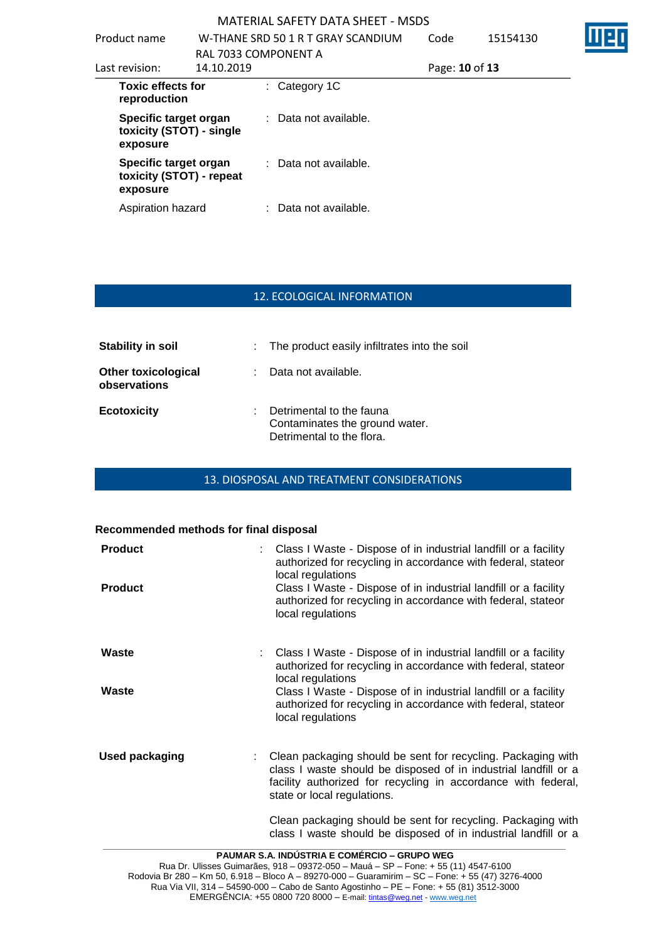| Product name                                                  |            | W-THANE SRD 50 1 R T GRAY SCANDIUM<br>RAL 7033 COMPONENT A | Code           | 15154130 |  |
|---------------------------------------------------------------|------------|------------------------------------------------------------|----------------|----------|--|
| Last revision:                                                | 14.10.2019 |                                                            | Page: 10 of 13 |          |  |
| <b>Toxic effects for</b><br>reproduction                      |            | $:$ Category 1C                                            |                |          |  |
| Specific target organ<br>toxicity (STOT) - single<br>exposure |            | : Data not available.                                      |                |          |  |
| Specific target organ<br>toxicity (STOT) - repeat<br>exposure |            | : Data not available.                                      |                |          |  |
| Aspiration hazard                                             |            | : Data not available.                                      |                |          |  |

### 12. ECOLOGICAL INFORMATION

| <b>Stability in soil</b>                   | : The product easily infiltrates into the soil                                          |
|--------------------------------------------|-----------------------------------------------------------------------------------------|
| <b>Other toxicological</b><br>observations | Data not available.                                                                     |
| <b>Ecotoxicity</b>                         | Detrimental to the fauna<br>Contaminates the ground water.<br>Detrimental to the flora. |

### 13. DIOSPOSAL AND TREATMENT CONSIDERATIONS

### **Recommended methods for final disposal**

| <b>Product</b> | : Class I Waste - Dispose of in industrial landfill or a facility<br>authorized for recycling in accordance with federal, stateor<br>local regulations                                                                          |
|----------------|---------------------------------------------------------------------------------------------------------------------------------------------------------------------------------------------------------------------------------|
| <b>Product</b> | Class I Waste - Dispose of in industrial landfill or a facility<br>authorized for recycling in accordance with federal, stateor<br>local regulations                                                                            |
| Waste          | : Class I Waste - Dispose of in industrial landfill or a facility<br>authorized for recycling in accordance with federal, stateor<br>local regulations                                                                          |
| Waste          | Class I Waste - Dispose of in industrial landfill or a facility<br>authorized for recycling in accordance with federal, stateor<br>local regulations                                                                            |
| Used packaging | Clean packaging should be sent for recycling. Packaging with<br>class I waste should be disposed of in industrial landfill or a<br>facility authorized for recycling in accordance with federal,<br>state or local regulations. |
|                | Clean packaging should be sent for recycling. Packaging with<br>class I waste should be disposed of in industrial landfill or a                                                                                                 |
|                | <b>PAUMAR S.A. INDÚSTRIA E COMÉRCIO – GRUPO WEG</b>                                                                                                                                                                             |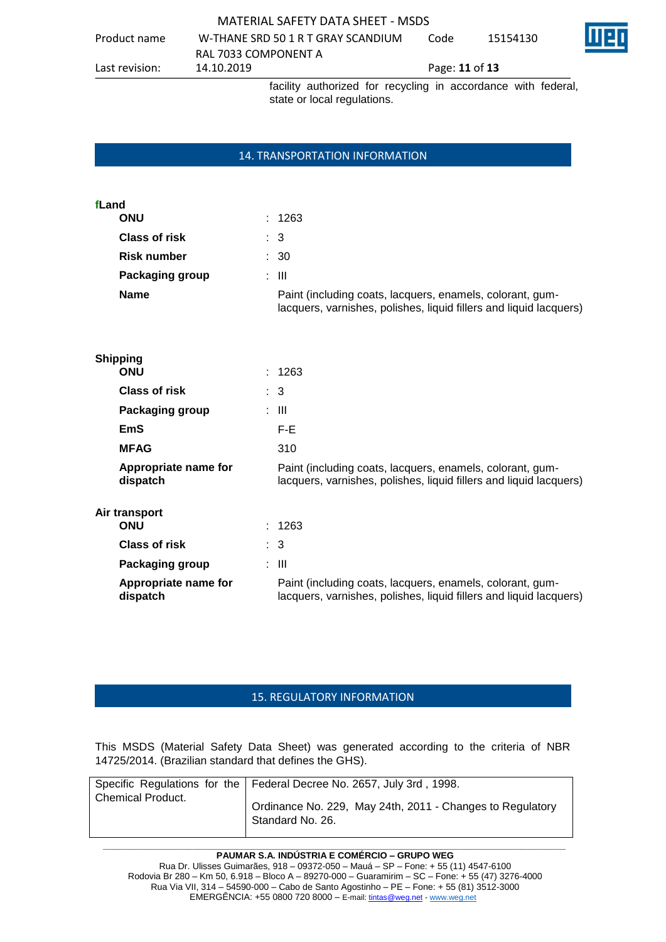|  | <b>MATERIAL SAFETY DATA SHEET - MSDS</b> |
|--|------------------------------------------|
|--|------------------------------------------|

Product name W-THANE SRD 50 1 R T GRAY SCANDIUM RAL 7033 COMPONENT A Code 15154130 Last revision: 14.10.2019 Page: **11** of **13** facility authorized for recycling in accordance with federal,

#### 14. TRANSPORTATION INFORMATION

state or local regulations.

| fLand                |                                                                                                                                 |
|----------------------|---------------------------------------------------------------------------------------------------------------------------------|
| <b>ONU</b>           | : 1263                                                                                                                          |
| <b>Class of risk</b> | : 3                                                                                                                             |
| <b>Risk number</b>   | $\therefore$ 30                                                                                                                 |
| Packaging group      | : III                                                                                                                           |
| <b>Name</b>          | Paint (including coats, lacquers, enamels, colorant, gum-<br>lacquers, varnishes, polishes, liquid fillers and liquid lacquers) |

| <b>Shipping</b>                  |                                                                                                                                 |
|----------------------------------|---------------------------------------------------------------------------------------------------------------------------------|
| <b>ONU</b>                       | : 1263                                                                                                                          |
| <b>Class of risk</b>             | $\therefore$ 3                                                                                                                  |
| Packaging group                  | : III                                                                                                                           |
| EmS                              | F-E                                                                                                                             |
| <b>MFAG</b>                      | 310                                                                                                                             |
| Appropriate name for<br>dispatch | Paint (including coats, lacquers, enamels, colorant, gum-<br>lacquers, varnishes, polishes, liquid fillers and liquid lacquers) |
| Air transport                    |                                                                                                                                 |
| <b>ONU</b>                       | : 1263                                                                                                                          |
| Class of risk                    | $\therefore$ 3                                                                                                                  |
| Packaging group                  | : III                                                                                                                           |
| Appropriate name for<br>dispatch | Paint (including coats, lacquers, enamels, colorant, gum-<br>lacquers, varnishes, polishes, liquid fillers and liquid lacquers) |
|                                  |                                                                                                                                 |

#### 15. REGULATORY INFORMATION

This MSDS (Material Safety Data Sheet) was generated according to the criteria of NBR 14725/2014. (Brazilian standard that defines the GHS).

|                          | Specific Regulations for the   Federal Decree No. 2657, July 3rd, 1998.       |
|--------------------------|-------------------------------------------------------------------------------|
| <b>Chemical Product.</b> | Ordinance No. 229, May 24th, 2011 - Changes to Regulatory<br>Standard No. 26. |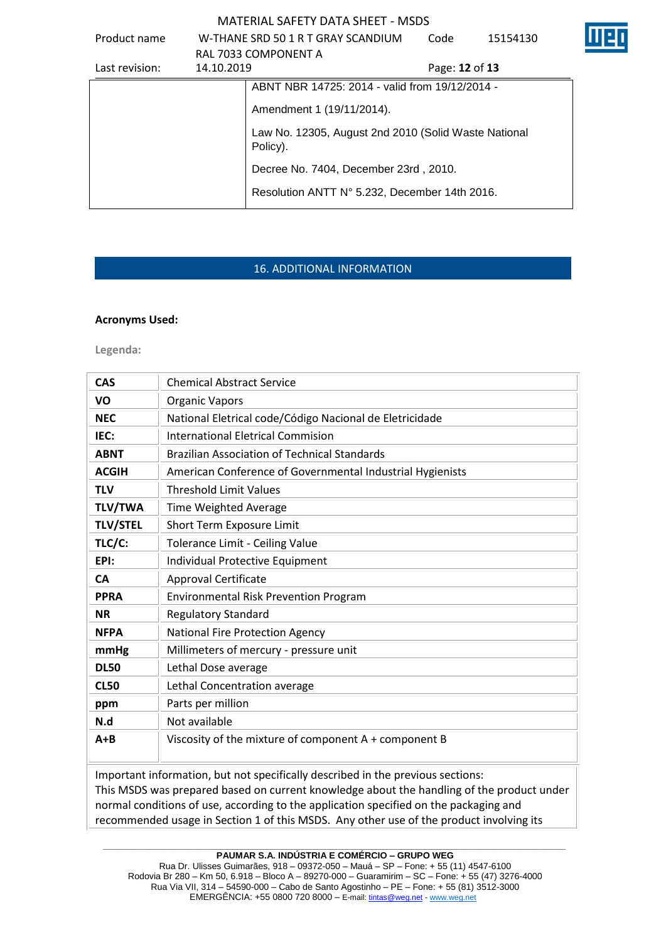| Product name                                                     |            | W-THANE SRD 50 1 R T GRAY SCANDIUM             | Code           | 15154130 |  |
|------------------------------------------------------------------|------------|------------------------------------------------|----------------|----------|--|
|                                                                  |            | RAL 7033 COMPONENT A                           |                |          |  |
| Last revision:                                                   | 14.10.2019 |                                                | Page: 12 of 13 |          |  |
|                                                                  |            | ABNT NBR 14725: 2014 - valid from 19/12/2014 - |                |          |  |
|                                                                  |            | Amendment 1 (19/11/2014).                      |                |          |  |
| Law No. 12305, August 2nd 2010 (Solid Waste National<br>Policy). |            |                                                |                |          |  |
|                                                                  |            | Decree No. 7404, December 23rd, 2010.          |                |          |  |
|                                                                  |            | Resolution ANTT N° 5.232, December 14th 2016.  |                |          |  |
|                                                                  |            |                                                |                |          |  |

### 16. ADDITIONAL INFORMATION

#### **Acronyms Used:**

**Legenda:**

| <b>CAS</b>      | <b>Chemical Abstract Service</b>                                                                                                                                             |
|-----------------|------------------------------------------------------------------------------------------------------------------------------------------------------------------------------|
| VO              | <b>Organic Vapors</b>                                                                                                                                                        |
| <b>NEC</b>      | National Eletrical code/Código Nacional de Eletricidade                                                                                                                      |
| IEC:            | <b>International Eletrical Commision</b>                                                                                                                                     |
| <b>ABNT</b>     | <b>Brazilian Association of Technical Standards</b>                                                                                                                          |
| <b>ACGIH</b>    | American Conference of Governmental Industrial Hygienists                                                                                                                    |
| <b>TLV</b>      | <b>Threshold Limit Values</b>                                                                                                                                                |
| <b>TLV/TWA</b>  | Time Weighted Average                                                                                                                                                        |
| <b>TLV/STEL</b> | Short Term Exposure Limit                                                                                                                                                    |
| TLC/C:          | Tolerance Limit - Ceiling Value                                                                                                                                              |
| EPI:            | Individual Protective Equipment                                                                                                                                              |
| <b>CA</b>       | <b>Approval Certificate</b>                                                                                                                                                  |
| <b>PPRA</b>     | <b>Environmental Risk Prevention Program</b>                                                                                                                                 |
| <b>NR</b>       | <b>Regulatory Standard</b>                                                                                                                                                   |
| <b>NFPA</b>     | <b>National Fire Protection Agency</b>                                                                                                                                       |
| mmHg            | Millimeters of mercury - pressure unit                                                                                                                                       |
| <b>DL50</b>     | Lethal Dose average                                                                                                                                                          |
| <b>CL50</b>     | Lethal Concentration average                                                                                                                                                 |
| ppm             | Parts per million                                                                                                                                                            |
| N.d             | Not available                                                                                                                                                                |
| $A + B$         | Viscosity of the mixture of component A + component B                                                                                                                        |
|                 | Important information, but not specifically described in the previous sections:<br>This MSDS was prepared based on current knowledge about the bandling of the product under |

This MSDS was prepared based on current knowledge about the handling of the product under normal conditions of use, according to the application specified on the packaging and recommended usage in Section 1 of this MSDS. Any other use of the product involving its

**\_\_\_\_\_\_\_\_\_\_\_\_\_\_\_\_\_\_\_\_\_\_\_\_\_\_\_\_\_\_\_\_\_\_\_\_\_\_\_\_\_\_\_\_\_\_\_\_\_\_\_\_\_\_\_\_\_\_\_\_\_\_\_\_\_\_\_\_\_\_\_\_\_\_\_\_\_\_\_\_\_\_\_\_\_\_\_\_\_\_\_\_\_ PAUMAR S.A. INDÚSTRIA E COMÉRCIO – GRUPO WEG**